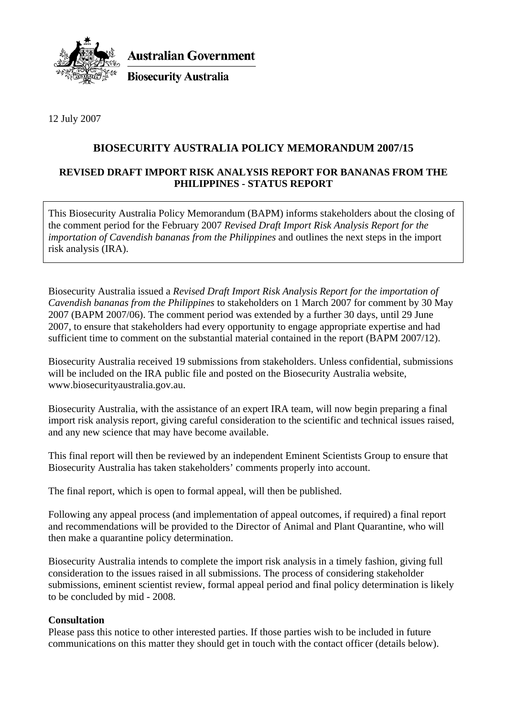

**Australian Government** 

**Biosecurity Australia** 

12 July 2007

## **BIOSECURITY AUSTRALIA POLICY MEMORANDUM 2007/15**

## **REVISED DRAFT IMPORT RISK ANALYSIS REPORT FOR BANANAS FROM THE PHILIPPINES - STATUS REPORT**

This Biosecurity Australia Policy Memorandum (BAPM) informs stakeholders about the closing of the comment period for the February 2007 *Revised Draft Import Risk Analysis Report for the importation of Cavendish bananas from the Philippines* and outlines the next steps in the import risk analysis (IRA).

Biosecurity Australia issued a *Revised Draft Import Risk Analysis Report for the importation of Cavendish bananas from the Philippines* to stakeholders on 1 March 2007 for comment by 30 May 2007 (BAPM 2007/06). The comment period was extended by a further 30 days, until 29 June 2007, to ensure that stakeholders had every opportunity to engage appropriate expertise and had sufficient time to comment on the substantial material contained in the report (BAPM 2007/12).

Biosecurity Australia received 19 submissions from stakeholders. Unless confidential, submissions will be included on the IRA public file and posted on the Biosecurity Australia website, www.biosecurityaustralia.gov.au.

Biosecurity Australia, with the assistance of an expert IRA team, will now begin preparing a final import risk analysis report, giving careful consideration to the scientific and technical issues raised, and any new science that may have become available.

This final report will then be reviewed by an independent Eminent Scientists Group to ensure that Biosecurity Australia has taken stakeholders' comments properly into account.

The final report, which is open to formal appeal, will then be published.

Following any appeal process (and implementation of appeal outcomes, if required) a final report and recommendations will be provided to the Director of Animal and Plant Quarantine, who will then make a quarantine policy determination.

Biosecurity Australia intends to complete the import risk analysis in a timely fashion, giving full consideration to the issues raised in all submissions. The process of considering stakeholder submissions, eminent scientist review, formal appeal period and final policy determination is likely to be concluded by mid - 2008.

## **Consultation**

Please pass this notice to other interested parties. If those parties wish to be included in future communications on this matter they should get in touch with the contact officer (details below).